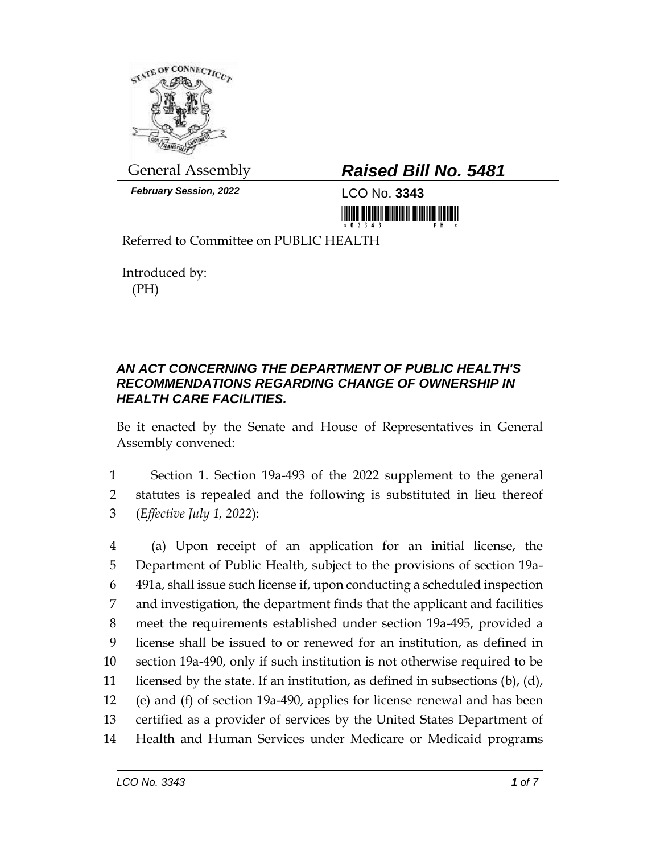

*February Session, 2022* LCO No. **3343**

## General Assembly *Raised Bill No. 5481*

<u> III maarta ka mid maaraa ka mid maaraa maaraa maaraa maaraa maaraa maaraa maaraa maaraa maaraa maaraa maaraa </u>

Referred to Committee on PUBLIC HEALTH

Introduced by: (PH)

## *AN ACT CONCERNING THE DEPARTMENT OF PUBLIC HEALTH'S RECOMMENDATIONS REGARDING CHANGE OF OWNERSHIP IN HEALTH CARE FACILITIES.*

Be it enacted by the Senate and House of Representatives in General Assembly convened:

1 Section 1. Section 19a-493 of the 2022 supplement to the general 2 statutes is repealed and the following is substituted in lieu thereof 3 (*Effective July 1, 2022*):

 (a) Upon receipt of an application for an initial license, the Department of Public Health, subject to the provisions of section 19a- 491a, shall issue such license if, upon conducting a scheduled inspection and investigation, the department finds that the applicant and facilities meet the requirements established under section 19a-495, provided a license shall be issued to or renewed for an institution, as defined in section 19a-490, only if such institution is not otherwise required to be licensed by the state. If an institution, as defined in subsections (b), (d), (e) and (f) of section 19a-490, applies for license renewal and has been certified as a provider of services by the United States Department of Health and Human Services under Medicare or Medicaid programs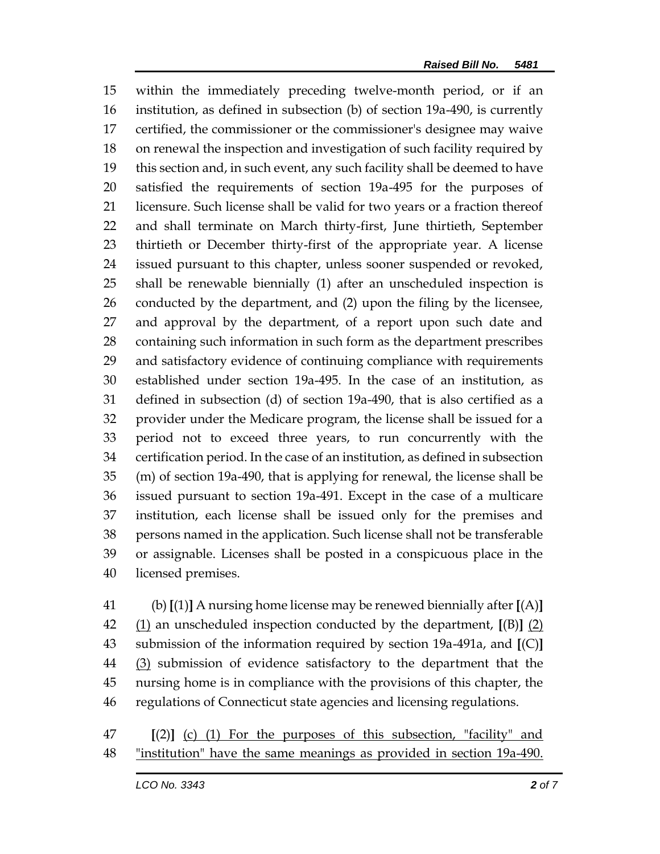within the immediately preceding twelve-month period, or if an institution, as defined in subsection (b) of section 19a-490, is currently certified, the commissioner or the commissioner's designee may waive on renewal the inspection and investigation of such facility required by this section and, in such event, any such facility shall be deemed to have satisfied the requirements of section 19a-495 for the purposes of licensure. Such license shall be valid for two years or a fraction thereof and shall terminate on March thirty-first, June thirtieth, September thirtieth or December thirty-first of the appropriate year. A license issued pursuant to this chapter, unless sooner suspended or revoked, shall be renewable biennially (1) after an unscheduled inspection is conducted by the department, and (2) upon the filing by the licensee, and approval by the department, of a report upon such date and containing such information in such form as the department prescribes and satisfactory evidence of continuing compliance with requirements established under section 19a-495. In the case of an institution, as defined in subsection (d) of section 19a-490, that is also certified as a provider under the Medicare program, the license shall be issued for a period not to exceed three years, to run concurrently with the certification period. In the case of an institution, as defined in subsection (m) of section 19a-490, that is applying for renewal, the license shall be issued pursuant to section 19a-491. Except in the case of a multicare institution, each license shall be issued only for the premises and persons named in the application. Such license shall not be transferable or assignable. Licenses shall be posted in a conspicuous place in the licensed premises.

 (b) **[**(1)**]** A nursing home license may be renewed biennially after **[**(A)**]** (1) an unscheduled inspection conducted by the department, **[**(B)**]** (2) submission of the information required by section 19a-491a, and **[**(C)**]** (3) submission of evidence satisfactory to the department that the nursing home is in compliance with the provisions of this chapter, the regulations of Connecticut state agencies and licensing regulations.

 **[**(2)**]** (c) (1) For the purposes of this subsection, "facility" and "institution" have the same meanings as provided in section 19a-490.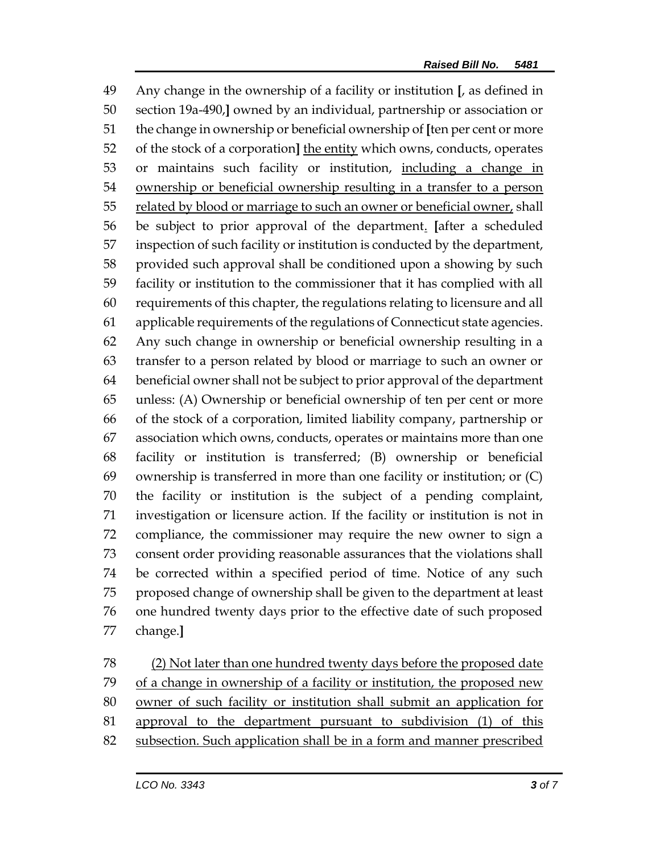Any change in the ownership of a facility or institution **[**, as defined in section 19a-490,**]** owned by an individual, partnership or association or the change in ownership or beneficial ownership of **[**ten per cent or more of the stock of a corporation**]** the entity which owns, conducts, operates or maintains such facility or institution, including a change in ownership or beneficial ownership resulting in a transfer to a person 55 related by blood or marriage to such an owner or beneficial owner, shall be subject to prior approval of the department. **[**after a scheduled inspection of such facility or institution is conducted by the department, provided such approval shall be conditioned upon a showing by such facility or institution to the commissioner that it has complied with all requirements of this chapter, the regulations relating to licensure and all applicable requirements of the regulations of Connecticut state agencies. Any such change in ownership or beneficial ownership resulting in a transfer to a person related by blood or marriage to such an owner or beneficial owner shall not be subject to prior approval of the department unless: (A) Ownership or beneficial ownership of ten per cent or more of the stock of a corporation, limited liability company, partnership or association which owns, conducts, operates or maintains more than one facility or institution is transferred; (B) ownership or beneficial ownership is transferred in more than one facility or institution; or (C) the facility or institution is the subject of a pending complaint, investigation or licensure action. If the facility or institution is not in compliance, the commissioner may require the new owner to sign a consent order providing reasonable assurances that the violations shall be corrected within a specified period of time. Notice of any such proposed change of ownership shall be given to the department at least one hundred twenty days prior to the effective date of such proposed change.**]**

 (2) Not later than one hundred twenty days before the proposed date of a change in ownership of a facility or institution, the proposed new owner of such facility or institution shall submit an application for approval to the department pursuant to subdivision (1) of this 82 subsection. Such application shall be in a form and manner prescribed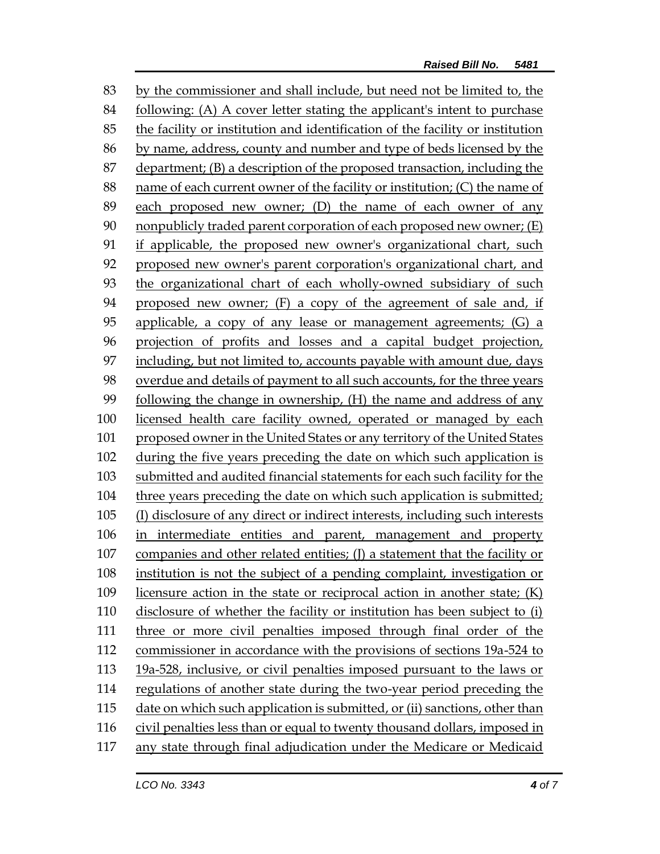by the commissioner and shall include, but need not be limited to, the following: (A) A cover letter stating the applicant's intent to purchase the facility or institution and identification of the facility or institution by name, address, county and number and type of beds licensed by the department; (B) a description of the proposed transaction, including the name of each current owner of the facility or institution; (C) the name of each proposed new owner; (D) the name of each owner of any nonpublicly traded parent corporation of each proposed new owner; (E) if applicable, the proposed new owner's organizational chart, such proposed new owner's parent corporation's organizational chart, and the organizational chart of each wholly-owned subsidiary of such proposed new owner; (F) a copy of the agreement of sale and, if applicable, a copy of any lease or management agreements; (G) a projection of profits and losses and a capital budget projection, including, but not limited to, accounts payable with amount due, days overdue and details of payment to all such accounts, for the three years following the change in ownership, (H) the name and address of any 100 licensed health care facility owned, operated or managed by each proposed owner in the United States or any territory of the United States during the five years preceding the date on which such application is submitted and audited financial statements for each such facility for the three years preceding the date on which such application is submitted; (I) disclosure of any direct or indirect interests, including such interests in intermediate entities and parent, management and property companies and other related entities; (J) a statement that the facility or institution is not the subject of a pending complaint, investigation or licensure action in the state or reciprocal action in another state; (K) disclosure of whether the facility or institution has been subject to (i) three or more civil penalties imposed through final order of the commissioner in accordance with the provisions of sections 19a-524 to 19a-528, inclusive, or civil penalties imposed pursuant to the laws or regulations of another state during the two-year period preceding the date on which such application is submitted, or (ii) sanctions, other than civil penalties less than or equal to twenty thousand dollars, imposed in any state through final adjudication under the Medicare or Medicaid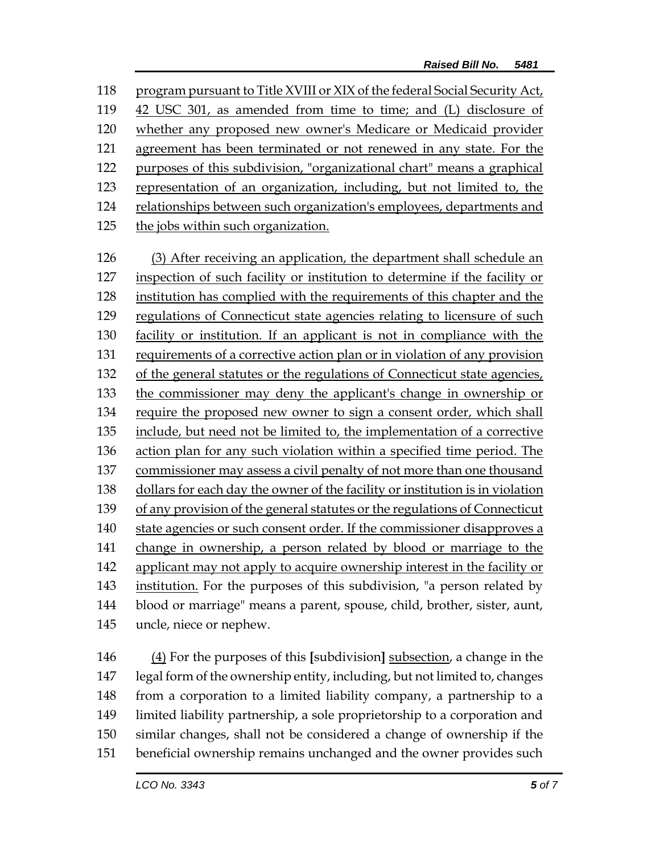program pursuant to Title XVIII or XIX of the federal Social Security Act, 42 USC 301, as amended from time to time; and (L) disclosure of whether any proposed new owner's Medicare or Medicaid provider agreement has been terminated or not renewed in any state. For the purposes of this subdivision, "organizational chart" means a graphical representation of an organization, including, but not limited to, the 124 relationships between such organization's employees, departments and the jobs within such organization.

 (3) After receiving an application, the department shall schedule an inspection of such facility or institution to determine if the facility or institution has complied with the requirements of this chapter and the regulations of Connecticut state agencies relating to licensure of such facility or institution. If an applicant is not in compliance with the requirements of a corrective action plan or in violation of any provision of the general statutes or the regulations of Connecticut state agencies, the commissioner may deny the applicant's change in ownership or require the proposed new owner to sign a consent order, which shall include, but need not be limited to, the implementation of a corrective action plan for any such violation within a specified time period. The commissioner may assess a civil penalty of not more than one thousand dollars for each day the owner of the facility or institution is in violation 139 of any provision of the general statutes or the regulations of Connecticut 140 state agencies or such consent order. If the commissioner disapproves a change in ownership, a person related by blood or marriage to the applicant may not apply to acquire ownership interest in the facility or institution. For the purposes of this subdivision, "a person related by blood or marriage" means a parent, spouse, child, brother, sister, aunt, uncle, niece or nephew.

 (4) For the purposes of this **[**subdivision**]** subsection, a change in the legal form of the ownership entity, including, but not limited to, changes from a corporation to a limited liability company, a partnership to a limited liability partnership, a sole proprietorship to a corporation and similar changes, shall not be considered a change of ownership if the beneficial ownership remains unchanged and the owner provides such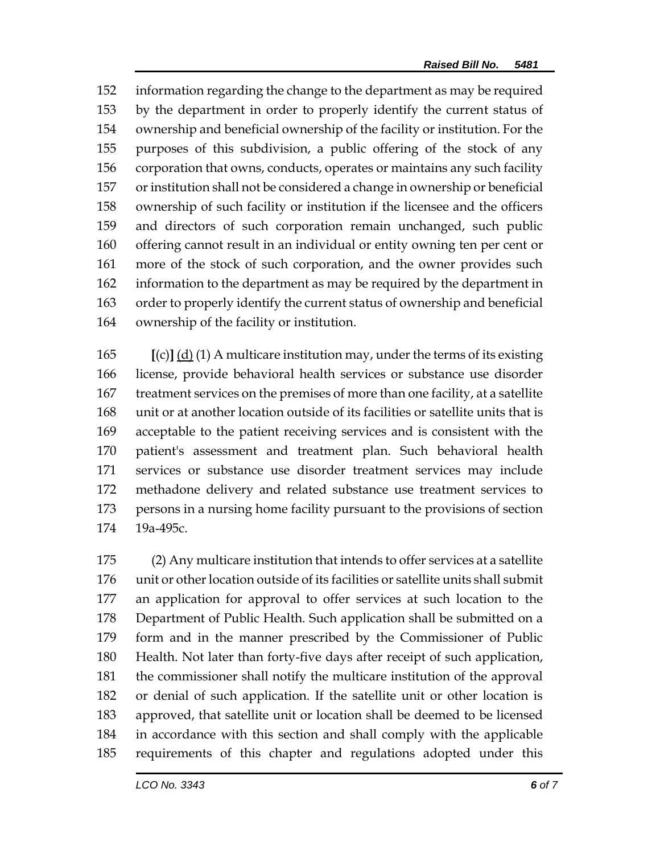information regarding the change to the department as may be required by the department in order to properly identify the current status of ownership and beneficial ownership of the facility or institution. For the purposes of this subdivision, a public offering of the stock of any corporation that owns, conducts, operates or maintains any such facility or institution shall not be considered a change in ownership or beneficial ownership of such facility or institution if the licensee and the officers and directors of such corporation remain unchanged, such public offering cannot result in an individual or entity owning ten per cent or more of the stock of such corporation, and the owner provides such information to the department as may be required by the department in order to properly identify the current status of ownership and beneficial ownership of the facility or institution.

 **[**(c)**]** (d) (1) A multicare institution may, under the terms of its existing license, provide behavioral health services or substance use disorder treatment services on the premises of more than one facility, at a satellite unit or at another location outside of its facilities or satellite units that is acceptable to the patient receiving services and is consistent with the patient's assessment and treatment plan. Such behavioral health services or substance use disorder treatment services may include methadone delivery and related substance use treatment services to persons in a nursing home facility pursuant to the provisions of section 19a-495c.

 (2) Any multicare institution that intends to offer services at a satellite unit or other location outside of its facilities or satellite units shall submit an application for approval to offer services at such location to the Department of Public Health. Such application shall be submitted on a form and in the manner prescribed by the Commissioner of Public Health. Not later than forty-five days after receipt of such application, the commissioner shall notify the multicare institution of the approval or denial of such application. If the satellite unit or other location is approved, that satellite unit or location shall be deemed to be licensed in accordance with this section and shall comply with the applicable requirements of this chapter and regulations adopted under this